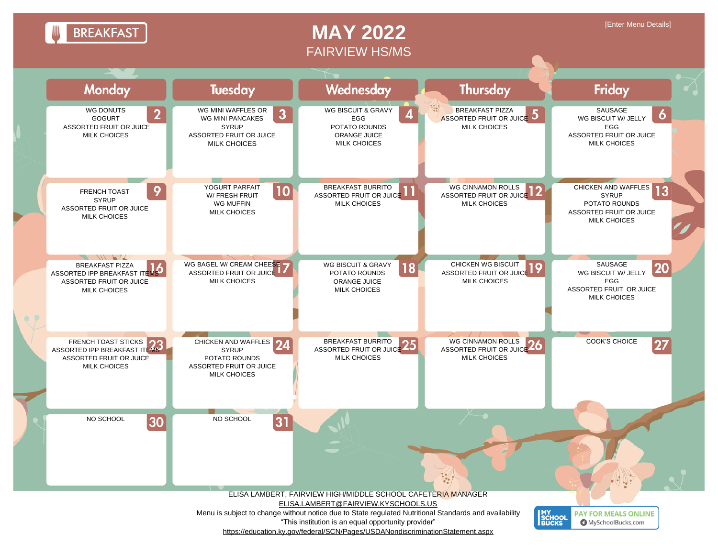**BREAKFAST** 

## **MAY 2022** FAIRVIEW HS/MS